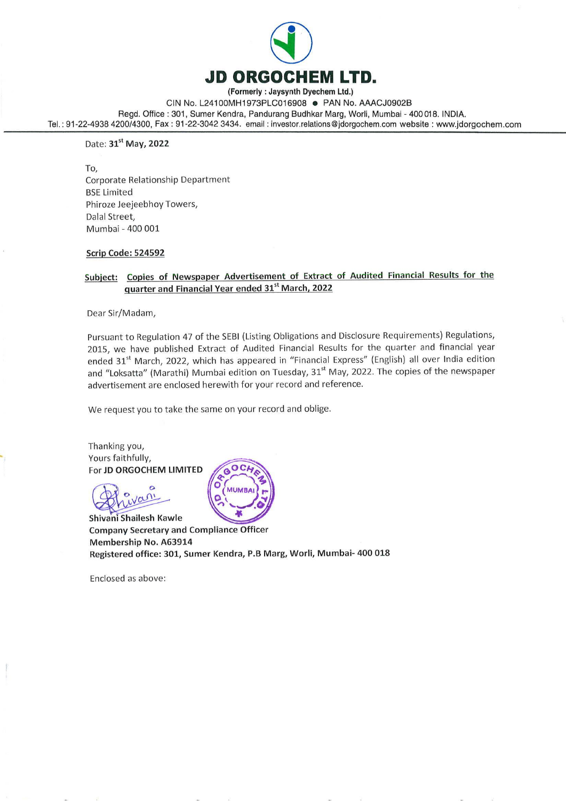

(Formerly : Jaysynth Dyechem Ltd.)

CIN No. L24100MH1973PLC016908 @ PAN No. AAACJ0902B

Regd. Office : 301, Sumer Kendra, Pandurang Budhkar Marg, Worli, Mumbai - 400 018. INDIA. Tel. : 91-22-4938 4200/4300, Fax : 91-22-3042 3434. email : investor.relations @jdorgochem.com website : www.jdorgochem.com

Date: 31st May, 2022

To, Corporate Relationship Department BSE Limited Phiroze Jeejeebhoy Towers, Dalal Street, Mumbai - 400 001

#### Scrip Code: 524592

#### Subject: Copies of Newspaper Advertisement of Extract of Audited Financial Results for the quarter and Financial Year ended 31° March, 2022

Dear Sir/Madam,

Pursuant to Regulation 47 of the SEBI (Listing Obligations and Disclosure Requirements) Regulations, 2015, we have published Extract of Audited Financial Results for the quarter and financial year ended 31<sup>st</sup> March, 2022, which has appeared in "Financial Express" (English) all over India edition and "Loksatta" (Marathi) Mumbai edition on Tuesday, 31<sup>st</sup> May, 2022. The copies of the newspaper advertisement are enclosed herewith for your record and reference.

We request you to take the same on your record and oblige.

Thanking you, Yours faithfully, For JD ORGOCHEM LIMITED

 $\,\,\rm\sim$ 2 van

Shivani Shailesh Kawle Company Secretary and Compliance Officer Membership No. A63914 Registered office: 301, Sumer Kendra, P.B Marg, Worli, Mumbai- 400 018

 $\label{eq:2.1} \mathcal{Q}$ 

Enclosed as above: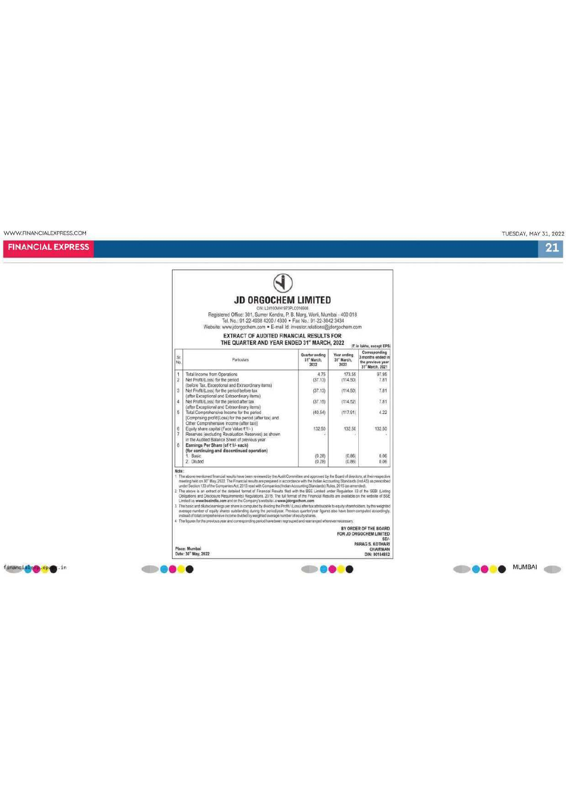financiales, spesien

WWW.FINANCIALEXPRESS.COM

**FINANCIAL EXPRESS** 

**EXTRACT OF AUDITED FINANCIAL RESULTS FOR<br>THE QUARTER AND YEAR ENDED 31" MARCH, 2022** (7. in lakhs, except EPS) Corresponding<br>3 months ended in Quarter ending<br>31" March,<br>2022 Year ending<br>31° March,<br>2022 Sr.<br>No Particulars the previous year<br>31" March, 2021 Total income from Operations<br>
Net Profit/Loss) for the period<br>
(better Brack Cocopional and Extraordinary items)<br>
(better Tax, Exceptional and Extraordinary items)<br>
(where Evid(Licss) for the period shelt better lax<br>
(whe  $4.75$ <br>(37.13)  $173.55$ <br>(114.50) 97.95<br>7.81  $\frac{1}{2}$  $\overline{\mathbf{3}}$  $(37.13)$  $(114.50)$ 7.81 4 7.81  $(37.15)$  $(114.52)$  $_{\rm 5}$  $(40.54)$  $(117.91)$  $4.22$ 132.50 132.50  $\frac{6}{7}$ 132.50  $\overline{\phantom{a}}$  $(0.28)$ <br> $(0.28)$  $(0.86)$ <br> $(0.86)$  $0.06$ <br> $0.06$ Note:<br>
The state mentioned financial results have been reviewed by the Audit Committee and approved by the Board of drectors, at their respective<br>
The interaction and the financial results are prepared in accordance with Note

# O

CIN: L24100MH1973PLC016906<br>Registered Office: 301, Summer Kendra, P. B. Marg, World, Mumbai - 400 018<br>Tel. No.: 91-22-4938 4200 / 4300 + Fax No.: 91-22-3042 3434<br>Website: www.jdorgochem.com + E-mail Id: investor.relations@

**JD ORGOCHEM LIMITED** 

BY ORDER OF THE BOARD<br>FOR JD ORGOCHEM LIMITED SDI-<br>PARAG S. KOTHARI

----

CHAIRMAN<br>DIN: 00184852

TUESDAY, MAY 31, 2022

**OGOO** MUMBAI

 $21$ 

Place: Mumbai<br>Date: 30<sup>\*</sup> May, 2022

**SHOOTS**